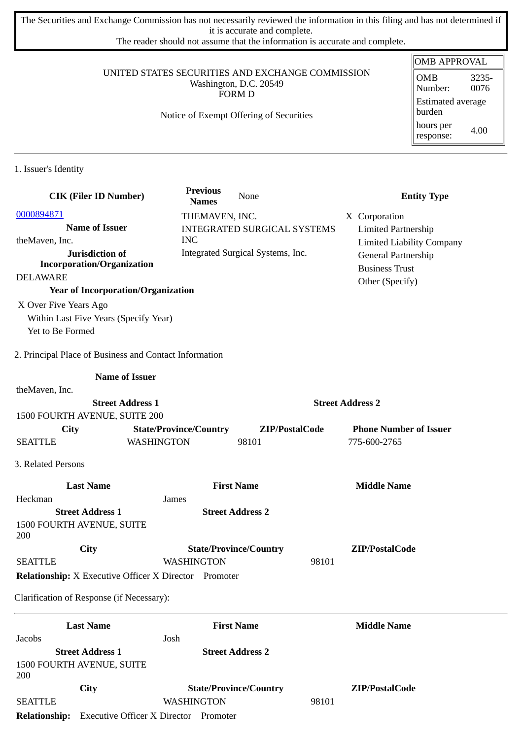The Securities and Exchange Commission has not necessarily reviewed the information in this filing and has not determined if it is accurate and complete.

The reader should not assume that the information is accurate and complete.

### UNITED STATES SECURITIES AND EXCHANGE COMMISSION Washington, D.C. 20549 FORM D

## Notice of Exempt Offering of Securities

#### OMB APPROVAL OMB Number: 3235- 0076 Estimated average burden hours per response: 4.00

1. Issuer's Identity

| <b>CIK (Filer ID Number)</b>                                 | <b>Previous</b><br><b>Names</b> | None                               | <b>Entity Type</b>               |
|--------------------------------------------------------------|---------------------------------|------------------------------------|----------------------------------|
| 0000894871                                                   | THEMAVEN, INC.                  |                                    | X Corporation                    |
| <b>Name of Issuer</b>                                        |                                 | <b>INTEGRATED SURGICAL SYSTEMS</b> | <b>Limited Partnership</b>       |
| theMaven, Inc.                                               | <b>INC</b>                      |                                    | <b>Limited Liability Company</b> |
| Jurisdiction of                                              |                                 | Integrated Surgical Systems, Inc.  | General Partnership              |
| <b>Incorporation/Organization</b>                            |                                 |                                    | <b>Business Trust</b>            |
| <b>DELAWARE</b>                                              |                                 |                                    | Other (Specify)                  |
| <b>Year of Incorporation/Organization</b>                    |                                 |                                    |                                  |
| X Over Five Years Ago                                        |                                 |                                    |                                  |
| Within Last Five Years (Specify Year)                        |                                 |                                    |                                  |
| Yet to Be Formed                                             |                                 |                                    |                                  |
| 2. Principal Place of Business and Contact Information       |                                 |                                    |                                  |
| <b>Name of Issuer</b>                                        |                                 |                                    |                                  |
| theMaven, Inc.                                               |                                 |                                    |                                  |
| <b>Street Address 1</b>                                      |                                 |                                    | <b>Street Address 2</b>          |
| 1500 FOURTH AVENUE, SUITE 200                                |                                 |                                    |                                  |
| <b>City</b>                                                  | <b>State/Province/Country</b>   | ZIP/PostalCode                     | <b>Phone Number of Issuer</b>    |
| <b>SEATTLE</b>                                               | <b>WASHINGTON</b>               | 98101                              | 775-600-2765                     |
| 3. Related Persons                                           |                                 |                                    |                                  |
| <b>Last Name</b>                                             |                                 | <b>First Name</b>                  | <b>Middle Name</b>               |
| Heckman                                                      | James                           |                                    |                                  |
| <b>Street Address 1</b>                                      |                                 | <b>Street Address 2</b>            |                                  |
| 1500 FOURTH AVENUE, SUITE<br>200                             |                                 |                                    |                                  |
| City                                                         |                                 | <b>State/Province/Country</b>      | ZIP/PostalCode                   |
| <b>SEATTLE</b>                                               | <b>WASHINGTON</b>               | 98101                              |                                  |
| <b>Relationship:</b> X Executive Officer X Director Promoter |                                 |                                    |                                  |
| Clarification of Response (if Necessary):                    |                                 |                                    |                                  |
| <b>Last Name</b>                                             |                                 | <b>First Name</b>                  | <b>Middle Name</b>               |
| Jacobs                                                       | Josh                            |                                    |                                  |
| <b>Street Address 1</b>                                      |                                 | <b>Street Address 2</b>            |                                  |
| <b>1500 FOURTH AVENUE, SUITE</b><br>200                      |                                 |                                    |                                  |
| <b>City</b>                                                  |                                 | <b>State/Province/Country</b>      | ZIP/PostalCode                   |
| <b>SEATTLE</b>                                               | WASHINGTON                      | 98101                              |                                  |
| <b>Relationship:</b> Executive Officer X Director Promoter   |                                 |                                    |                                  |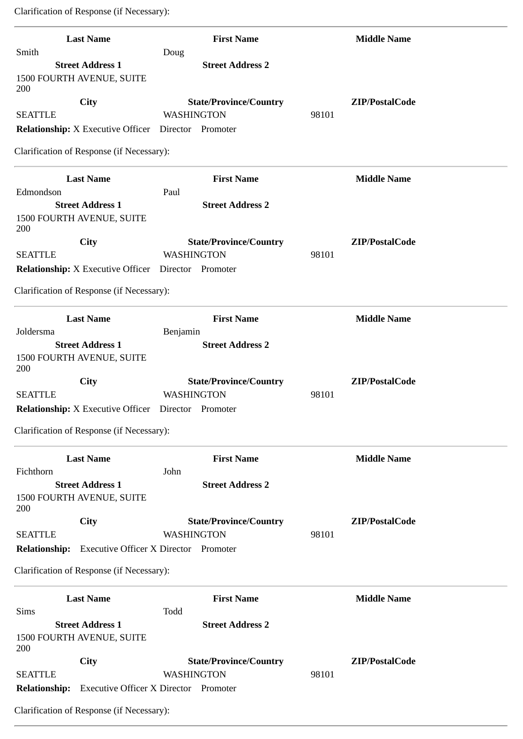Clarification of Response (if Necessary):

| <b>Last Name</b>                                            | <b>First Name</b>                                                 | <b>Middle Name</b>      |
|-------------------------------------------------------------|-------------------------------------------------------------------|-------------------------|
| Smith<br><b>Street Address 1</b>                            | Doug<br><b>Street Address 2</b>                                   |                         |
| 1500 FOURTH AVENUE, SUITE<br>200                            |                                                                   |                         |
| City<br><b>SEATTLE</b>                                      | <b>State/Province/Country</b><br>WASHINGTON                       | ZIP/PostalCode<br>98101 |
| <b>Relationship:</b> X Executive Officer Director Promoter  |                                                                   |                         |
| Clarification of Response (if Necessary):                   |                                                                   |                         |
| <b>Last Name</b>                                            | <b>First Name</b>                                                 | <b>Middle Name</b>      |
| Edmondson                                                   | Paul                                                              |                         |
| <b>Street Address 1</b>                                     | <b>Street Address 2</b>                                           |                         |
| 1500 FOURTH AVENUE, SUITE<br>200                            |                                                                   |                         |
| City                                                        | <b>State/Province/Country</b>                                     | ZIP/PostalCode          |
| <b>SEATTLE</b>                                              | <b>WASHINGTON</b>                                                 | 98101                   |
| <b>Relationship:</b> X Executive Officer Director Promoter  |                                                                   |                         |
| Clarification of Response (if Necessary):                   |                                                                   |                         |
| <b>Last Name</b>                                            | <b>First Name</b>                                                 | <b>Middle Name</b>      |
| Joldersma                                                   | Benjamin                                                          |                         |
| <b>Street Address 1</b><br>1500 FOURTH AVENUE, SUITE<br>200 | <b>Street Address 2</b>                                           |                         |
| City                                                        | <b>State/Province/Country</b>                                     | ZIP/PostalCode          |
| <b>SEATTLE</b>                                              | <b>WASHINGTON</b>                                                 | 98101                   |
| <b>Relationship:</b> X Executive Officer Director Promoter  |                                                                   |                         |
| Clarification of Response (if Necessary):                   |                                                                   |                         |
| <b>Last Name</b>                                            | <b>First Name</b>                                                 | <b>Middle Name</b>      |
| Fichthorn                                                   | John                                                              |                         |
| <b>Street Address 1</b><br>1500 FOURTH AVENUE, SUITE<br>200 | <b>Street Address 2</b>                                           |                         |
| City<br><b>SEATTLE</b>                                      | <b>State/Province/Country</b><br>WASHINGTON                       | ZIP/PostalCode<br>98101 |
| <b>Relationship:</b>                                        | <b>Executive Officer X Director Promoter</b>                      |                         |
| Clarification of Response (if Necessary):                   |                                                                   |                         |
| <b>Last Name</b>                                            | <b>First Name</b>                                                 | <b>Middle Name</b>      |
| Sims                                                        | Todd                                                              |                         |
| <b>Street Address 1</b>                                     | <b>Street Address 2</b>                                           |                         |
| 1500 FOURTH AVENUE, SUITE<br>200                            |                                                                   |                         |
| City                                                        | <b>State/Province/Country</b>                                     | ZIP/PostalCode          |
| <b>SEATTLE</b><br><b>Relationship:</b>                      | <b>WASHINGTON</b><br><b>Executive Officer X Director Promoter</b> | 98101                   |
| Clarification of Response (if Necessary):                   |                                                                   |                         |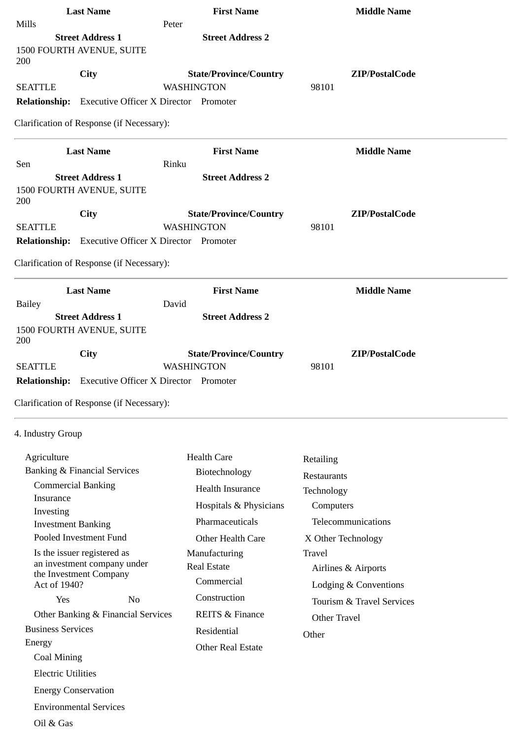| <b>Last Name</b>                                           | <b>First Name</b>                | <b>Middle Name</b>        |
|------------------------------------------------------------|----------------------------------|---------------------------|
| Mills                                                      | Peter                            |                           |
| <b>Street Address 1</b>                                    | <b>Street Address 2</b>          |                           |
| 1500 FOURTH AVENUE, SUITE<br>200                           |                                  |                           |
| City                                                       | <b>State/Province/Country</b>    | ZIP/PostalCode            |
| <b>SEATTLE</b>                                             | <b>WASHINGTON</b>                | 98101                     |
| Relationship: Executive Officer X Director Promoter        |                                  |                           |
| Clarification of Response (if Necessary):                  |                                  |                           |
| <b>Last Name</b>                                           | <b>First Name</b>                | <b>Middle Name</b>        |
| Sen<br><b>Street Address 1</b>                             | Rinku<br><b>Street Address 2</b> |                           |
| 1500 FOURTH AVENUE, SUITE<br>200                           |                                  |                           |
| <b>City</b>                                                | <b>State/Province/Country</b>    | ZIP/PostalCode            |
| <b>SEATTLE</b>                                             | WASHINGTON                       | 98101                     |
| Relationship: Executive Officer X Director Promoter        |                                  |                           |
| Clarification of Response (if Necessary):                  |                                  |                           |
| <b>Last Name</b>                                           | <b>First Name</b>                | <b>Middle Name</b>        |
| <b>Bailey</b>                                              | David                            |                           |
| <b>Street Address 1</b>                                    | <b>Street Address 2</b>          |                           |
| 1500 FOURTH AVENUE, SUITE<br>200                           |                                  |                           |
| <b>City</b>                                                | <b>State/Province/Country</b>    | ZIP/PostalCode            |
| <b>SEATTLE</b>                                             | <b>WASHINGTON</b>                | 98101                     |
| <b>Relationship:</b> Executive Officer X Director Promoter |                                  |                           |
| Clarification of Response (if Necessary):                  |                                  |                           |
|                                                            |                                  |                           |
| 4. Industry Group                                          |                                  |                           |
| Agriculture                                                | <b>Health Care</b>               | Retailing                 |
| <b>Banking &amp; Financial Services</b>                    | Biotechnology                    | Restaurants               |
| <b>Commercial Banking</b>                                  | Health Insurance                 | Technology                |
| Insurance                                                  | Hospitals & Physicians           | Computers                 |
| Investing<br><b>Investment Banking</b>                     | Pharmaceuticals                  | Telecommunications        |
| Pooled Investment Fund                                     | Other Health Care                | X Other Technology        |
| Is the issuer registered as                                | Manufacturing                    | <b>Travel</b>             |
| an investment company under                                | <b>Real Estate</b>               | Airlines & Airports       |
| the Investment Company<br>Act of 1940?                     | Commercial                       |                           |
| Yes<br>N <sub>o</sub>                                      | Construction                     | Lodging & Conventions     |
| Other Banking & Financial Services                         | <b>REITS &amp; Finance</b>       | Tourism & Travel Services |
| <b>Business Services</b>                                   |                                  | <b>Other Travel</b>       |
| Energy                                                     | Residential                      | Other                     |
| <b>Coal Mining</b>                                         | <b>Other Real Estate</b>         |                           |
| <b>Electric Utilities</b>                                  |                                  |                           |
| <b>Energy Conservation</b>                                 |                                  |                           |
|                                                            |                                  |                           |
| <b>Environmental Services</b>                              |                                  |                           |
| Oil & Gas                                                  |                                  |                           |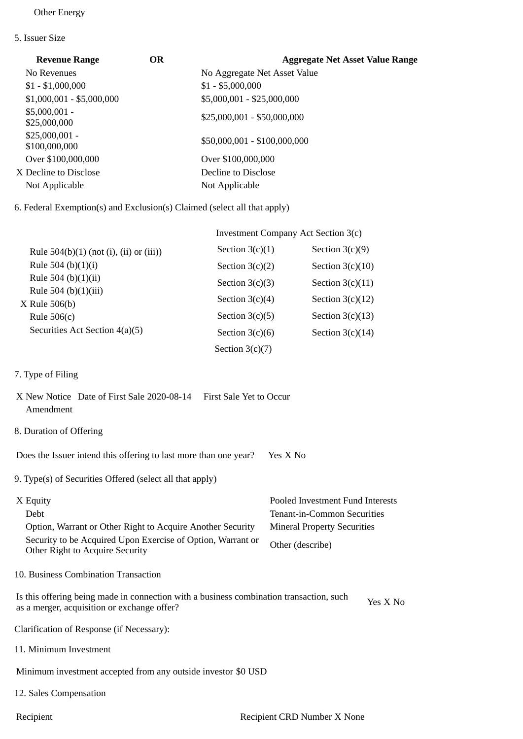## Other Energy

5. Issuer Size

| <b>Revenue Range</b>             | OR | <b>Aggregate Net Asset Value Range</b> |
|----------------------------------|----|----------------------------------------|
| No Revenues                      |    | No Aggregate Net Asset Value           |
| $$1 - $1,000,000$                |    | $$1 - $5,000,000$                      |
| $$1,000,001 - $5,000,000$        |    | \$5,000,001 - \$25,000,000             |
| $$5,000,001 -$<br>\$25,000,000   |    | \$25,000,001 - \$50,000,000            |
| $$25,000,001 -$<br>\$100,000,000 |    | \$50,000,001 - \$100,000,000           |
| Over \$100,000,000               |    | Over \$100,000,000                     |
| X Decline to Disclose            |    | Decline to Disclose                    |
| Not Applicable                   |    | Not Applicable                         |
|                                  |    |                                        |

6. Federal Exemption(s) and Exclusion(s) Claimed (select all that apply)

|                                                                   |                   | Investment Company Act Section 3(c) |  |  |
|-------------------------------------------------------------------|-------------------|-------------------------------------|--|--|
| Rule $504(b)(1)$ (not (i), (ii) or (iii))                         | Section $3(c)(1)$ | Section $3(c)(9)$                   |  |  |
| Rule 504 (b) $(1)(i)$                                             | Section $3(c)(2)$ | Section $3(c)(10)$                  |  |  |
| Rule 504 (b) $(1)(ii)$<br>Rule 504 (b)(1)(iii)<br>$X$ Rule 506(b) | Section $3(c)(3)$ | Section $3(c)(11)$                  |  |  |
|                                                                   | Section $3(c)(4)$ | Section $3(c)(12)$                  |  |  |
| Rule $506(c)$                                                     | Section $3(c)(5)$ | Section $3(c)(13)$                  |  |  |
| Securities Act Section 4(a)(5)                                    | Section $3(c)(6)$ | Section $3(c)(14)$                  |  |  |
|                                                                   | Section $3(c)(7)$ |                                     |  |  |

7. Type of Filing

|           | X New Notice Date of First Sale 2020-08-14 First Sale Yet to Occur |  |
|-----------|--------------------------------------------------------------------|--|
| Amendment |                                                                    |  |

8. Duration of Offering

Does the Issuer intend this offering to last more than one year? Yes X No

9. Type(s) of Securities Offered (select all that apply)

| X Equity                                                                                       | Pooled Investment Fund Interests   |
|------------------------------------------------------------------------------------------------|------------------------------------|
| Debt                                                                                           | Tenant-in-Common Securities        |
| Option, Warrant or Other Right to Acquire Another Security                                     | <b>Mineral Property Securities</b> |
| Security to be Acquired Upon Exercise of Option, Warrant or<br>Other Right to Acquire Security | Other (describe)                   |

10. Business Combination Transaction

Is this offering being made in connection with a business combination transaction, such is this oriering being made in connection with a business combination transaction, such Yes X No<br>as a merger, acquisition or exchange offer?

Clarification of Response (if Necessary):

11. Minimum Investment

Minimum investment accepted from any outside investor \$0 USD

12. Sales Compensation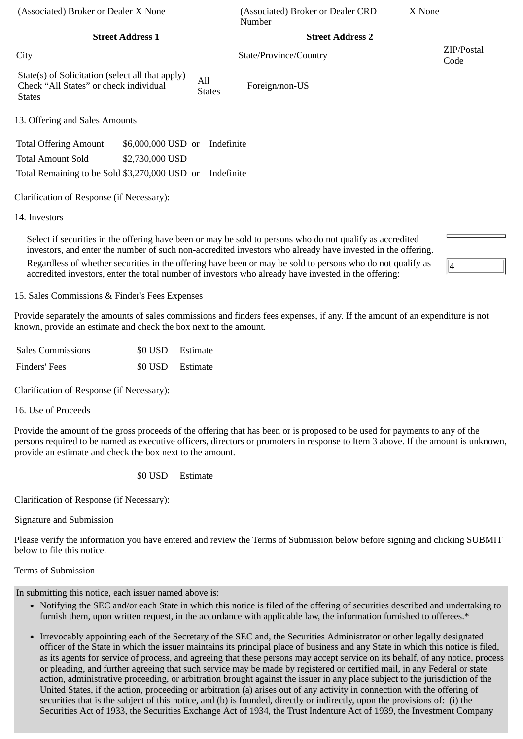| (Associated) Broker or Dealer X None                                                                                                | (Associated) Broker or Dealer CRD<br>Number | X None             |
|-------------------------------------------------------------------------------------------------------------------------------------|---------------------------------------------|--------------------|
| <b>Street Address 1</b>                                                                                                             | <b>Street Address 2</b>                     |                    |
| City                                                                                                                                | State/Province/Country                      | ZIP/Postal<br>Code |
| State(s) of Solicitation (select all that apply)<br>All<br>Check "All States" or check individual<br><b>States</b><br><b>States</b> | Foreign/non-US                              |                    |
| 13. Offering and Sales Amounts                                                                                                      |                                             |                    |
| \$6,000,000 USD or<br><b>Total Offering Amount</b>                                                                                  | Indefinite                                  |                    |
| <b>Total Amount Sold</b><br>\$2,730,000 USD                                                                                         |                                             |                    |
| Total Remaining to be Sold \$3,270,000 USD or                                                                                       | Indefinite                                  |                    |
| Clarification of Response (if Necessary):                                                                                           |                                             |                    |
| 14. Investors                                                                                                                       |                                             |                    |

Select if securities in the offering have been or may be sold to persons who do not qualify as accredited investors, and enter the number of such non-accredited investors who already have invested in the offering. Regardless of whether securities in the offering have been or may be sold to persons who do not qualify as accredited investors, enter the total number of investors who already have invested in the offering:

15. Sales Commissions & Finder's Fees Expenses

Provide separately the amounts of sales commissions and finders fees expenses, if any. If the amount of an expenditure is not known, provide an estimate and check the box next to the amount.

4

| <b>Sales Commissions</b> | \$0 USD Estimate |
|--------------------------|------------------|
| Finders' Fees            | \$0 USD Estimate |

Clarification of Response (if Necessary):

#### 16. Use of Proceeds

Provide the amount of the gross proceeds of the offering that has been or is proposed to be used for payments to any of the persons required to be named as executive officers, directors or promoters in response to Item 3 above. If the amount is unknown, provide an estimate and check the box next to the amount.

\$0 USD Estimate

Clarification of Response (if Necessary):

Signature and Submission

Please verify the information you have entered and review the Terms of Submission below before signing and clicking SUBMIT below to file this notice.

# Terms of Submission

In submitting this notice, each issuer named above is:

- Notifying the SEC and/or each State in which this notice is filed of the offering of securities described and undertaking to furnish them, upon written request, in the accordance with applicable law, the information furnished to offerees.\*
- Irrevocably appointing each of the Secretary of the SEC and, the Securities Administrator or other legally designated officer of the State in which the issuer maintains its principal place of business and any State in which this notice is filed, as its agents for service of process, and agreeing that these persons may accept service on its behalf, of any notice, process or pleading, and further agreeing that such service may be made by registered or certified mail, in any Federal or state action, administrative proceeding, or arbitration brought against the issuer in any place subject to the jurisdiction of the United States, if the action, proceeding or arbitration (a) arises out of any activity in connection with the offering of securities that is the subject of this notice, and (b) is founded, directly or indirectly, upon the provisions of: (i) the Securities Act of 1933, the Securities Exchange Act of 1934, the Trust Indenture Act of 1939, the Investment Company